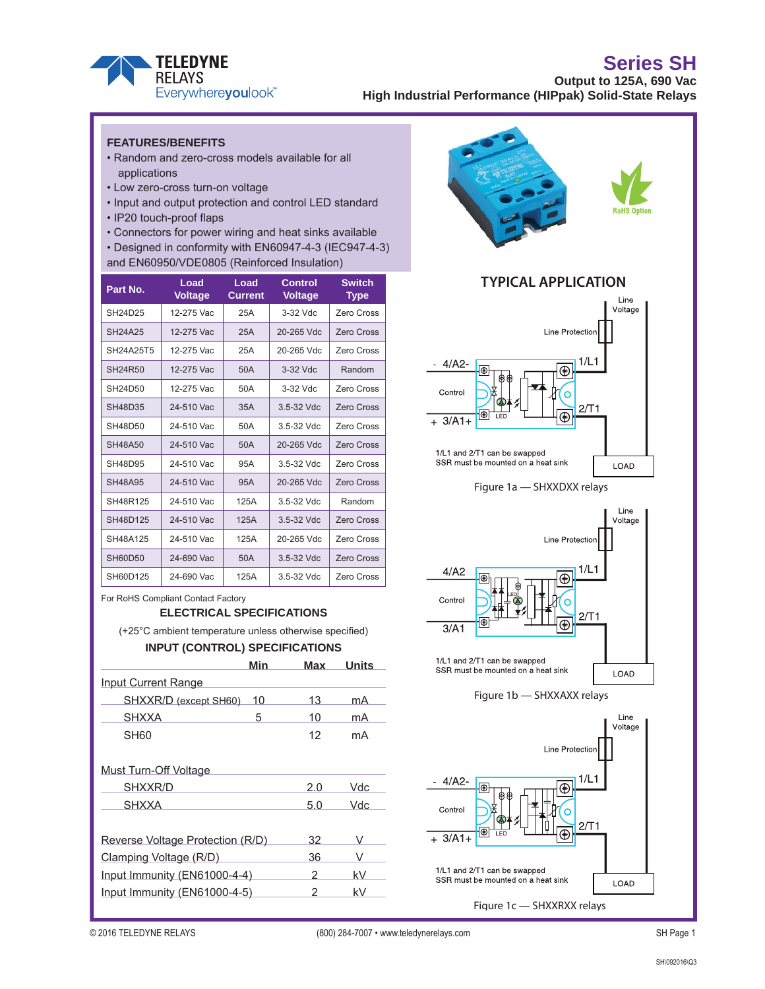

#### **FEATURES/BENEFITS**

- Random and zero-cross models available for all applications
- Low zero-cross turn-on voltage
- Input and output protection and control LED standard
- IP20 touch-proof flaps
- Connectors for power wiring and heat sinks available
- Designed in conformity with EN60947-4-3 (IEC947-4-3)
- and EN60950/VDE0805 (Reinforced Insulation)

| Part No.       | Load<br><b>Voltage</b> | Load<br><b>Current</b> | <b>Control</b><br><b>Voltage</b> | <b>Switch</b><br><b>Type</b> |
|----------------|------------------------|------------------------|----------------------------------|------------------------------|
| SH24D25        | 12-275 Vac             | 25A                    | 3-32 Vdc                         | <b>Zero Cross</b>            |
| <b>SH24A25</b> | 12-275 Vac             | 25A                    | 20-265 Vdc                       | Zero Cross                   |
| SH24A25T5      | 12-275 Vac             | 25A                    | 20-265 Vdc                       | Zero Cross                   |
| SH24R50        | 12-275 Vac             | 50A                    | 3-32 Vdc                         | Random                       |
| SH24D50        | 12-275 Vac             | 50A                    | 3-32 Vdc                         | Zero Cross                   |
| SH48D35        | 24-510 Vac             | 35A                    | 3.5-32 Vdc                       | Zero Cross                   |
| SH48D50        | 24-510 Vac             | 50A                    | 3.5-32 Vdc                       | Zero Cross                   |
| SH48A50        | 24-510 Vac             | 50A                    | 20-265 Vdc                       | <b>Zero Cross</b>            |
| SH48D95        | 24-510 Vac             | 95A                    | $3.5 - 32$ Vdc.                  | Zero Cross                   |
| SH48A95        | 24-510 Vac             | 95A                    | 20-265 Vdc                       | Zero Cross                   |
| SH48R125       | 24-510 Vac             | 125A                   | 3.5-32 Vdc                       | Random                       |
| SH48D125       | 24-510 Vac             | 125A                   | 3.5-32 Vdc                       | <b>Zero Cross</b>            |
| SH48A125       | 24-510 Vac             | 125A                   | 20-265 Vdc                       | Zero Cross                   |
| <b>SH60D50</b> | 24-690 Vac             | 50A                    | 3.5-32 Vdc                       | <b>Zero Cross</b>            |
| SH60D125       | 24-690 Vac             | 125A                   | 3.5-32 Vdc                       | <b>Zero Cross</b>            |

For RoHS Compliant Contact Factory

#### **ELECTRICAL SPECIFICATIONS**

(+25°C ambient temperature unless otherwise specified)

#### **INPUT (CONTROL) SPECIFICATIONS**

| Min                              | Max | Units |
|----------------------------------|-----|-------|
| Input Current Range              |     |       |
| SHXXR/D (except SH60)<br>10      | 13  | mA    |
| <b>SHXXA</b><br>5                | 10  | mA    |
| SH60                             | 12  | mA    |
| Must Turn-Off Voltage            |     |       |
| SHXXR/D                          | 2.0 | Vdc   |
| <b>SHXXA</b>                     | 5.0 | Vdc   |
| Reverse Voltage Protection (R/D) | 32  | v     |
| Clamping Voltage (R/D)           | 36  |       |
| Input Immunity (EN61000-4-4)     | 2   | kV    |
| Input Immunity (EN61000-4-5)     | 2   | kV    |





Control  $3/A1$ 1/L1 and 2/T1 can be swapped





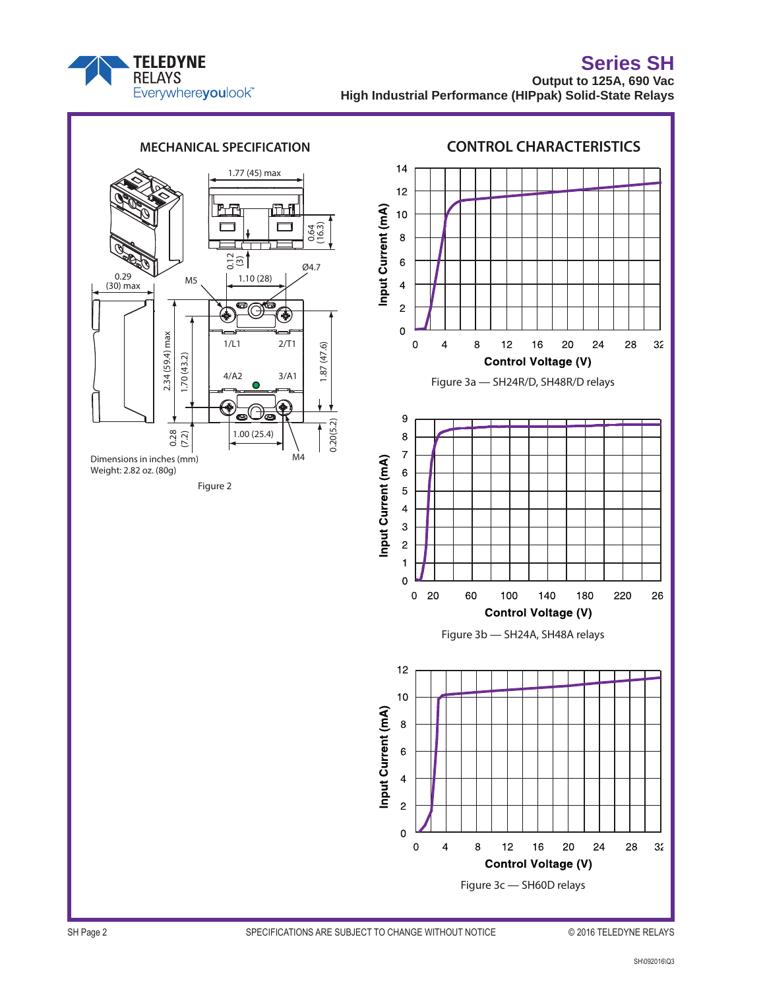



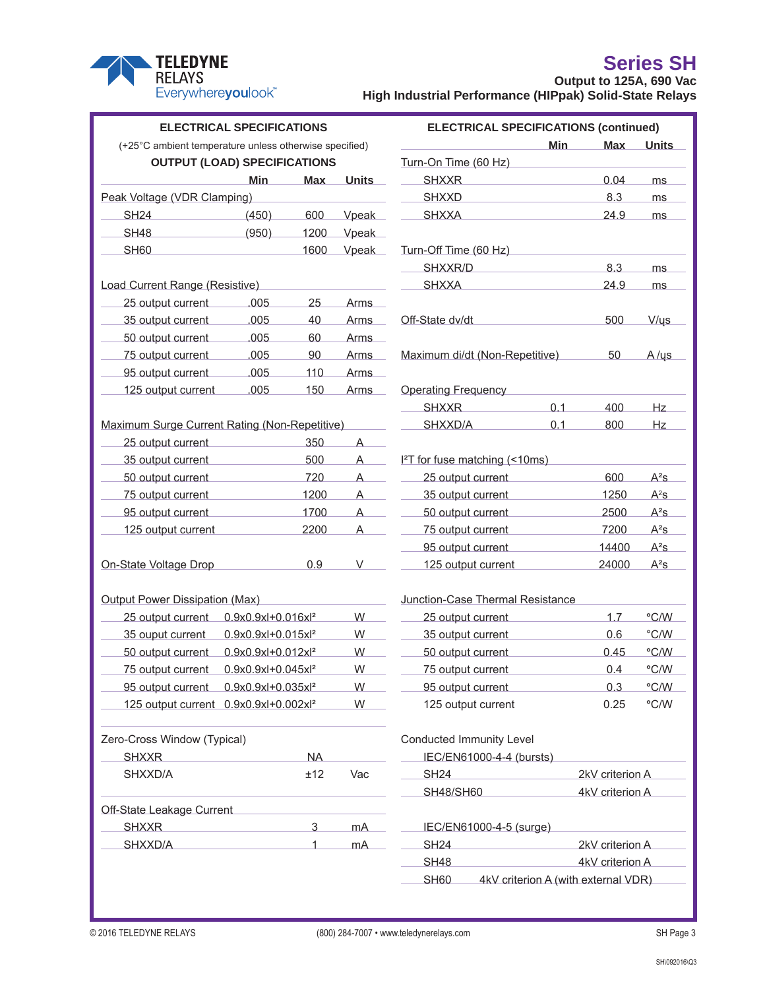

|                                                        | <b>ELECTRICAL SPECIFICATIONS</b>    |                |                | <b>ELECTRICAL SPECIFICATIONS (continued)</b> |                                     |                 |                 |  |
|--------------------------------------------------------|-------------------------------------|----------------|----------------|----------------------------------------------|-------------------------------------|-----------------|-----------------|--|
| (+25°C ambient temperature unless otherwise specified) |                                     |                |                |                                              | <b>Min</b>                          | <b>Max</b>      | <b>Units</b>    |  |
|                                                        | <b>OUTPUT (LOAD) SPECIFICATIONS</b> |                |                | Turn-On Time (60 Hz)                         |                                     |                 |                 |  |
|                                                        | <b>Min</b>                          | <b>Max</b>     | <b>Units</b>   | <b>SHXXR</b>                                 |                                     | 0.04            | ms              |  |
| Peak Voltage (VDR Clamping)                            |                                     |                |                | <b>SHXXD</b>                                 |                                     | 8.3             | ms              |  |
| <b>SH24</b>                                            | (450)                               | 600            | Vpeak          | <b>SHXXA</b>                                 |                                     | 24.9            | ms              |  |
| <b>SH48</b>                                            | (950)                               | 1200           | Vpeak          |                                              |                                     |                 |                 |  |
| <b>SH60</b>                                            |                                     | 1600           | Vpeak          | Turn-Off Time (60 Hz)                        |                                     |                 |                 |  |
|                                                        |                                     |                |                | SHXXR/D                                      |                                     | 8.3             | ms              |  |
| Load Current Range (Resistive)                         |                                     |                |                | <b>SHXXA</b>                                 |                                     | 24.9            | ms              |  |
| 25 output current                                      | .005                                | 25             | <b>Arms</b>    |                                              |                                     |                 |                 |  |
| 35 output current                                      | .005                                | 40             | <b>Arms</b>    | Off-State dv/dt                              |                                     | 500             | V/us            |  |
| 50 output current                                      | .005                                | 60             | <b>Arms</b>    |                                              |                                     |                 |                 |  |
| 75 output current                                      | .005                                | 90             | <b>Arms</b>    | Maximum di/dt (Non-Repetitive)               |                                     | 50              | $A/\psi s$      |  |
| 95 output current                                      | .005                                | 110            | Arms           |                                              |                                     |                 |                 |  |
| 125 output current                                     | .005                                | 150            | <b>Arms</b>    | <b>Operating Frequency</b>                   |                                     |                 |                 |  |
|                                                        |                                     |                |                | <b>SHXXR</b>                                 | 0.1                                 | 400             | Hz              |  |
| Maximum Surge Current Rating (Non-Repetitive)          |                                     |                |                | SHXXD/A                                      | 0.1                                 | 800             | Hz              |  |
| 25 output current                                      |                                     | 350            | $\overline{A}$ |                                              |                                     |                 |                 |  |
| 35 output current                                      |                                     | 500            | A              | I <sup>2</sup> T for fuse matching (<10ms)   |                                     |                 |                 |  |
| 50 output current                                      |                                     | 720            | A              | 25 output current                            |                                     | 600             | $A^2S$          |  |
| 75 output current                                      |                                     | 1200           | A              | 35 output current                            |                                     | 1250            | $A^2s$          |  |
| 95 output current                                      |                                     | 1700           | A              | 50 output current                            |                                     | 2500            | $A^2S$          |  |
| 125 output current                                     |                                     | 2200           | A              | 75 output current                            |                                     | 7200            | $A^2S$          |  |
|                                                        |                                     |                |                | 95 output current                            |                                     | 14400           | $A^2S$          |  |
| On-State Voltage Drop                                  |                                     | 0.9            | $\vee$         | 125 output current                           |                                     | 24000           | $A^2s$          |  |
| <b>Output Power Dissipation (Max)</b>                  |                                     |                |                | Junction-Case Thermal Resistance             |                                     |                 |                 |  |
| 25 output current                                      | 0.9x0.9xl+0.016xl <sup>2</sup>      |                | W              | 25 output current                            |                                     | 1.7             | °C/W            |  |
| 35 ouput current                                       | 0.9x0.9xl+0.015xl <sup>2</sup>      |                | W              | 35 output current                            |                                     | 0.6             | $\degree$ C/W   |  |
| 50 output current                                      | 0.9x0.9xl+0.012xl <sup>2</sup>      |                | W              | 50 output current                            |                                     | 0.45            | °C/W            |  |
| 75 output current                                      | 0.9x0.9xl+0.045xl <sup>2</sup>      |                | W              | 75 output current                            |                                     | 0.4             | °C/W            |  |
| 95 output current 0.9x0.9xl+0.035xl <sup>2</sup>       |                                     |                | W              | 95 output current                            |                                     | 0.3             | °C/W            |  |
| 125 output current 0.9x0.9xl+0.002xl <sup>2</sup>      |                                     |                | W              | 125 output current                           |                                     | 0.25            | °C/W            |  |
| Zero-Cross Window (Typical)                            |                                     |                |                | Conducted Immunity Level                     |                                     |                 |                 |  |
| <b>SHXXR</b>                                           |                                     | <b>NA</b>      |                | IEC/EN61000-4-4 (bursts)                     |                                     |                 |                 |  |
| SHXXD/A                                                |                                     | ±12            | Vac            | <b>SH24</b>                                  |                                     | 2kV criterion A |                 |  |
|                                                        |                                     |                |                | <b>SH48/SH60</b>                             |                                     |                 | 4kV criterion A |  |
| Off-State Leakage Current                              |                                     |                |                |                                              |                                     |                 |                 |  |
| <b>SHXXR</b>                                           |                                     | $\overline{3}$ | mA             | IEC/EN61000-4-5 (surge)                      |                                     |                 |                 |  |
| SHXXD/A                                                |                                     | 1              | mA             | <b>SH24</b>                                  |                                     | 2kV criterion A |                 |  |
|                                                        |                                     |                |                | <b>SH48</b>                                  |                                     | 4kV criterion A |                 |  |
|                                                        |                                     |                |                | <b>SH60</b>                                  | 4kV criterion A (with external VDR) |                 |                 |  |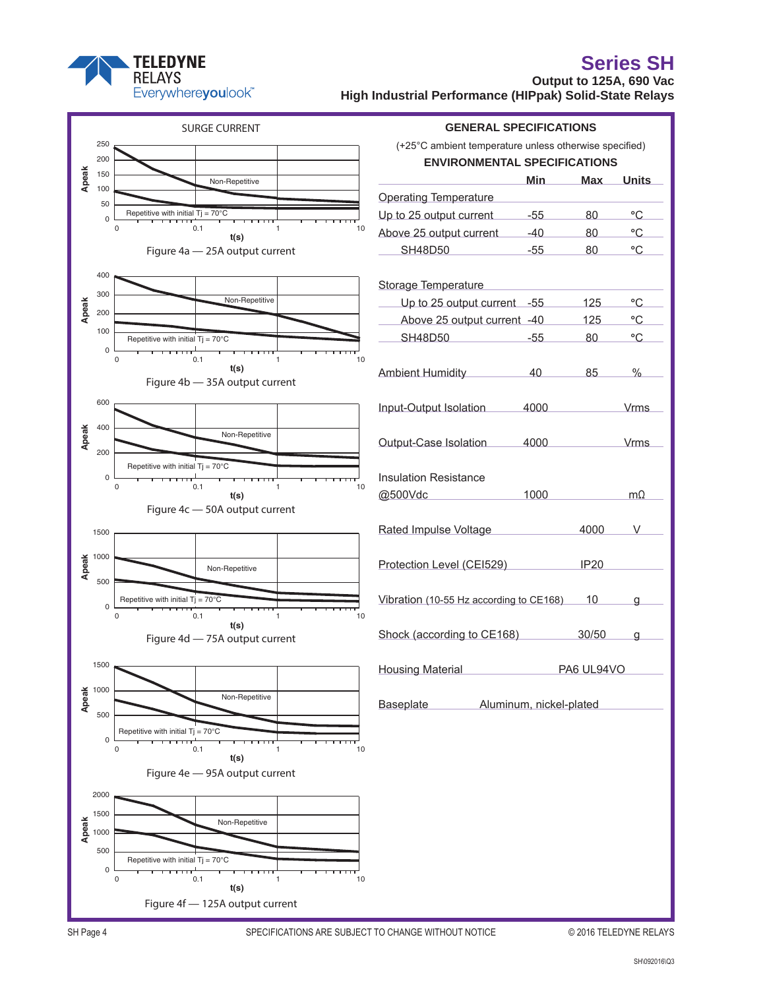

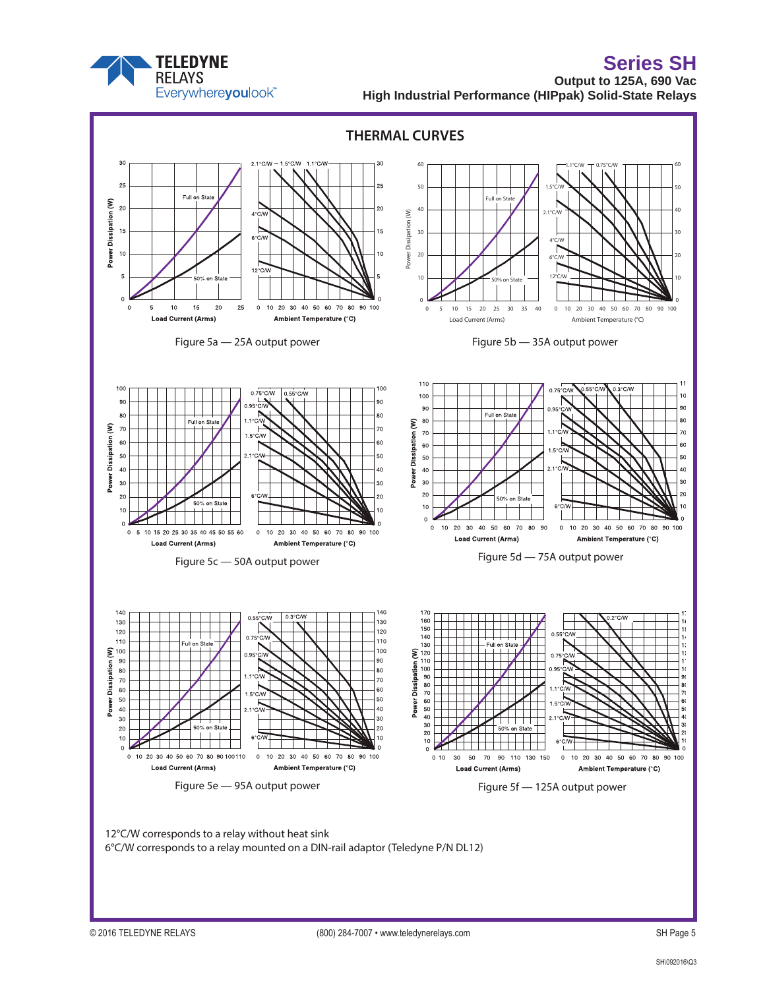

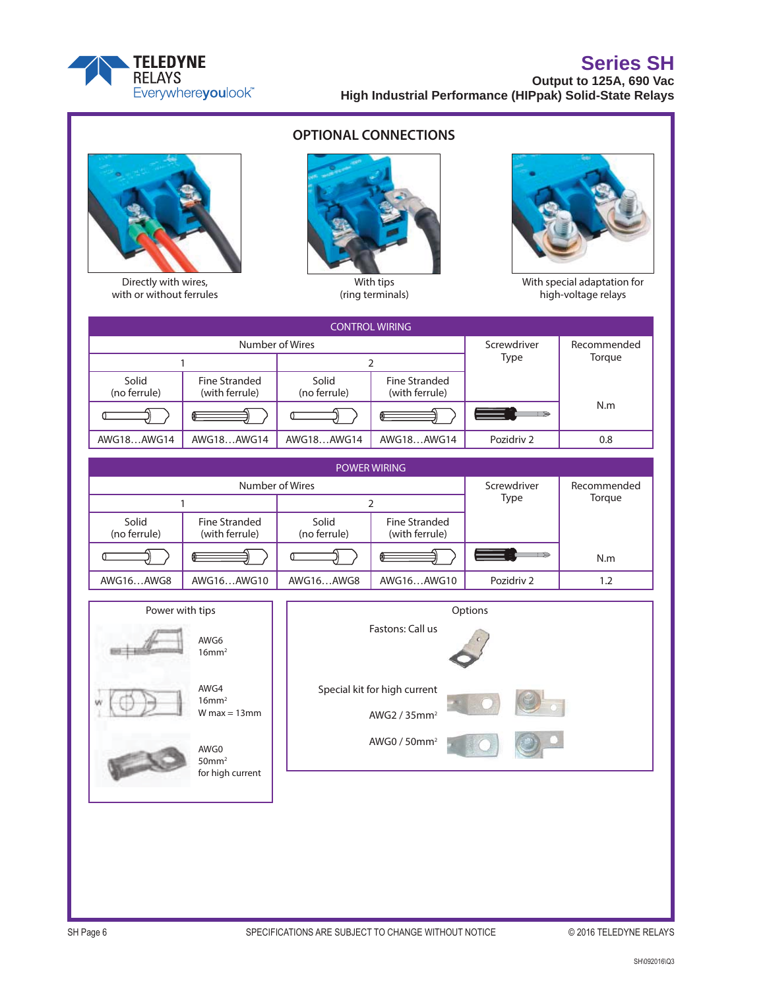

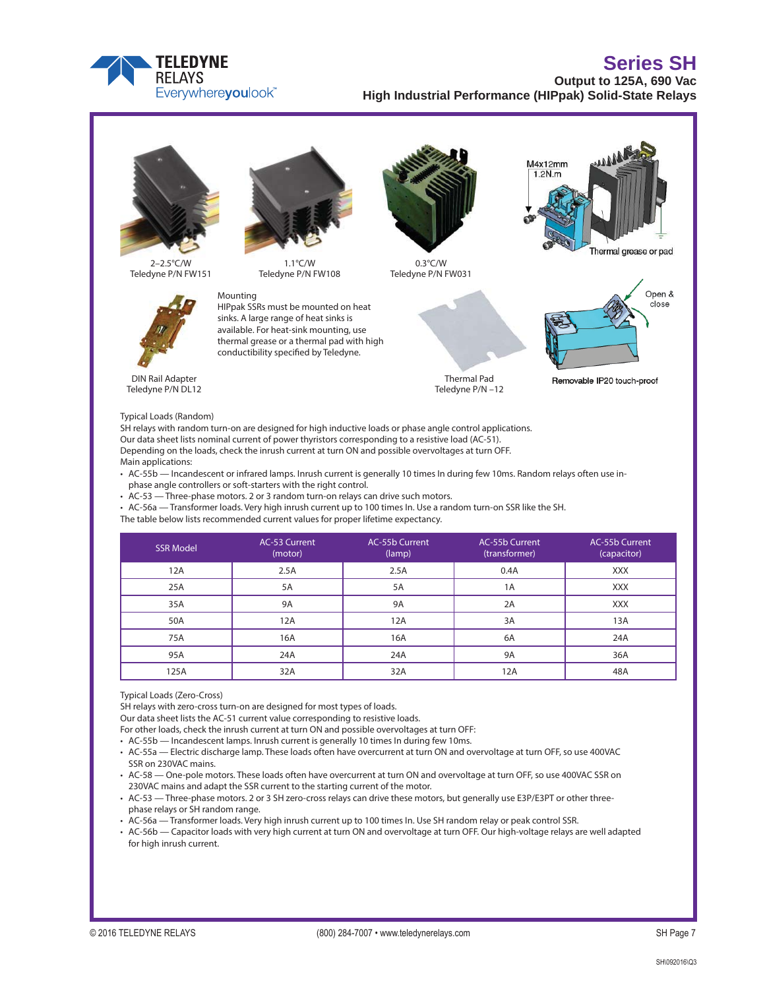



SH relays with random turn-on are designed for high inductive loads or phase angle control applications. Our data sheet lists nominal current of power thyristors corresponding to a resistive load (AC-51). Depending on the loads, check the inrush current at turn ON and possible overvoltages at turn OFF. Main applications:

• AC-55b — Incandescent or infrared lamps. Inrush current is generally 10 times In during few 10ms. Random relays often use inphase angle controllers or soft-starters with the right control.

• AC-53 — Three-phase motors. 2 or 3 random turn-on relays can drive such motors.

• AC-56a — Transformer loads. Very high inrush current up to 100 times In. Use a random turn-on SSR like the SH.

The table below lists recommended current values for proper lifetime expectancy.

| <b>SSR Model</b> | AC-53 Current<br>(motor) | AC-55b Current<br>(lamp) | <b>AC-55b Current</b><br>(transformer) | AC-55b Current<br>(capacitor) |
|------------------|--------------------------|--------------------------|----------------------------------------|-------------------------------|
| 12A              | 2.5A                     | 2.5A                     | 0.4A                                   | <b>XXX</b>                    |
| 25A              | 5A                       | <b>5A</b>                | 1Α                                     | <b>XXX</b>                    |
| 35A              | <b>9A</b>                | <b>9A</b>                | 2A                                     | <b>XXX</b>                    |
| 50A              | 12A                      | 12A                      | 3A                                     | 13A                           |
| 75A              | 16A                      | 16A                      | 6A                                     | 24A                           |
| 95A              | 24A                      | 24A                      | 9A                                     | 36A                           |
| 125A             | 32A                      | 32A                      | 12A                                    | 48A                           |

Typical Loads (Zero-Cross)

SH relays with zero-cross turn-on are designed for most types of loads.

Our data sheet lists the AC-51 current value corresponding to resistive loads.

For other loads, check the inrush current at turn ON and possible overvoltages at turn OFF:

• AC-55b — Incandescent lamps. Inrush current is generally 10 times In during few 10ms.

• AC-55a — Electric discharge lamp. These loads often have overcurrent at turn ON and overvoltage at turn OFF, so use 400VAC SSR on 230VAC mains.

• AC-58 — One-pole motors. These loads often have overcurrent at turn ON and overvoltage at turn OFF, so use 400VAC SSR on 230VAC mains and adapt the SSR current to the starting current of the motor.

• AC-53 — Three-phase motors. 2 or 3 SH zero-cross relays can drive these motors, but generally use E3P/E3PT or other threephase relays or SH random range.

• AC-56a — Transformer loads. Very high inrush current up to 100 times In. Use SH random relay or peak control SSR.

• AC-56b — Capacitor loads with very high current at turn ON and overvoltage at turn OFF. Our high-voltage relays are well adapted for high inrush current.